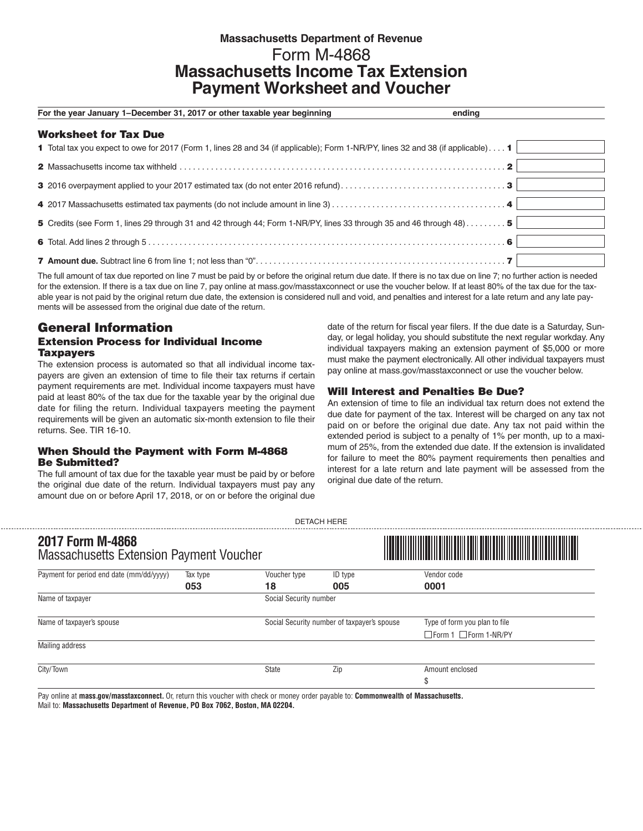# **Massachusetts Department of Revenue** Form M-4868 **Massachusetts Income Tax Extension Payment Worksheet and Voucher**

| For the year January 1–December 31, 2017 or other taxable year beginning                                                                                  | ending |
|-----------------------------------------------------------------------------------------------------------------------------------------------------------|--------|
| <b>Worksheet for Tax Due</b>                                                                                                                              |        |
| 1 Total tax you expect to owe for 2017 (Form 1, lines 28 and 34 (if applicable); Form 1-NR/PY, lines 32 and 38 (if applicable) 1                          |        |
|                                                                                                                                                           |        |
|                                                                                                                                                           |        |
| 4 2017 Massachusetts estimated tax payments (do not include amount in line $3, \ldots, \ldots, \ldots, \ldots, \ldots, \ldots, \ldots, \ldots, \ldots, 4$ |        |
| 5 Credits (see Form 1, lines 29 through 31 and 42 through 44; Form 1-NR/PY, lines 33 through 35 and 46 through 48)5                                       |        |
|                                                                                                                                                           |        |
|                                                                                                                                                           |        |

The full amount of tax due reported on line 7 must be paid by or before the original return due date. If there is no tax due on line 7; no further action is needed for the extension. If there is a tax due on line 7, pay online at mass.gov/masstaxconnect or use the voucher below. If at least 80% of the tax due for the taxable year is not paid by the original return due date, the extension is considered null and void, and penalties and interest for a late return and any late payments will be assessed from the original due date of the return.

## General Information Extension Process for Individual Income **Taxpayers**

The extension process is automated so that all individual income taxpayers are given an extension of time to file their tax returns if certain payment requirements are met. Individual income taxpayers must have paid at least 80% of the tax due for the taxable year by the original due date for filing the return. Individual taxpayers meeting the payment requirements will be given an automatic six-month extension to file their returns. See. TIR 16-10.

## When Should the Payment with Form M-4868 Be Submitted?

------------

The full amount of tax due for the taxable year must be paid by or before the original due date of the return. Individual taxpayers must pay any amount due on or before April 17, 2018, or on or before the original due

date of the return for fiscal year filers. If the due date is a Saturday, Sunday, or legal holiday, you should substitute the next regular workday. Any individual taxpayers making an extension payment of \$5,000 or more must make the payment electronically. All other individual taxpayers must pay online at mass.gov/masstaxconnect or use the voucher below.

## Will Interest and Penalties Be Due?

An extension of time to file an individual tax return does not extend the due date for payment of the tax. Interest will be charged on any tax not paid on or before the original due date. Any tax not paid within the extended period is subject to a penalty of 1% per month, up to a maximum of 25%, from the extended due date. If the extension is invalidated for failure to meet the 80% payment requirements then penalties and interest for a late return and late payment will be assessed from the original due date of the return.

| 2017 Form M-4868<br><b>Massachusetts Extension Payment Voucher</b> |          |                                             |         | <u> Alian Andrew Martin Martin </u> |  |
|--------------------------------------------------------------------|----------|---------------------------------------------|---------|-------------------------------------|--|
| Payment for period end date (mm/dd/yyyy)                           | Tax type | Voucher type                                | ID type | Vendor code                         |  |
| Name of taxpayer                                                   | 053      | 005<br>18<br>Social Security number         |         | 0001                                |  |
| Name of taxpayer's spouse                                          |          | Social Security number of taxpayer's spouse |         | Type of form you plan to file       |  |
|                                                                    |          |                                             |         | $\Box$ Form 1 $\Box$ Form 1-NR/PY   |  |
| Mailing address                                                    |          |                                             |         |                                     |  |
| City/Town                                                          |          | State                                       | Zip     | Amount enclosed                     |  |
|                                                                    |          |                                             |         | \$                                  |  |

DETACH HERE

Pay online at **mass.gov/masstaxconnect.** Or, return this voucher with check or money order payable to: **Commonwealth of Massachusetts.**  Mail to: **Massachusetts Department of Revenue, PO Box 7062, Boston, MA 02204.**